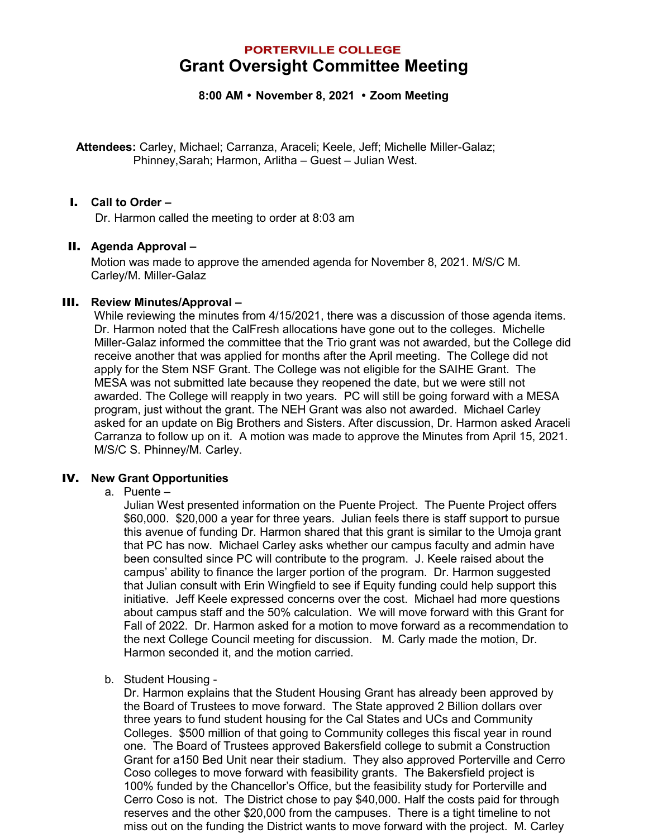# **PORTERVILLE COLLEGE Grant Oversight Committee Meeting**

**8:00 AM November 8, 2021 Zoom Meeting**

**Attendees:** Carley, Michael; Carranza, Araceli; Keele, Jeff; Michelle Miller-Galaz; Phinney,Sarah; Harmon, Arlitha – Guest – Julian West.

#### I. **Call to Order –**

Dr. Harmon called the meeting to order at 8:03 am

## II. **Agenda Approval –**

Motion was made to approve the amended agenda for November 8, 2021. M/S/C M. Carley/M. Miller-Galaz

#### III. **Review Minutes/Approval –**

While reviewing the minutes from 4/15/2021, there was a discussion of those agenda items. Dr. Harmon noted that the CalFresh allocations have gone out to the colleges. Michelle Miller-Galaz informed the committee that the Trio grant was not awarded, but the College did receive another that was applied for months after the April meeting. The College did not apply for the Stem NSF Grant. The College was not eligible for the SAIHE Grant. The MESA was not submitted late because they reopened the date, but we were still not awarded. The College will reapply in two years. PC will still be going forward with a MESA program, just without the grant. The NEH Grant was also not awarded. Michael Carley asked for an update on Big Brothers and Sisters. After discussion, Dr. Harmon asked Araceli Carranza to follow up on it. A motion was made to approve the Minutes from April 15, 2021. M/S/C S. Phinney/M. Carley.

## IV. **New Grant Opportunities**

a. Puente –

Julian West presented information on the Puente Project. The Puente Project offers \$60,000. \$20,000 a year for three years. Julian feels there is staff support to pursue this avenue of funding Dr. Harmon shared that this grant is similar to the Umoja grant that PC has now. Michael Carley asks whether our campus faculty and admin have been consulted since PC will contribute to the program. J. Keele raised about the campus' ability to finance the larger portion of the program. Dr. Harmon suggested that Julian consult with Erin Wingfield to see if Equity funding could help support this initiative. Jeff Keele expressed concerns over the cost. Michael had more questions about campus staff and the 50% calculation. We will move forward with this Grant for Fall of 2022. Dr. Harmon asked for a motion to move forward as a recommendation to the next College Council meeting for discussion. M. Carly made the motion, Dr. Harmon seconded it, and the motion carried.

b. Student Housing -

Dr. Harmon explains that the Student Housing Grant has already been approved by the Board of Trustees to move forward. The State approved 2 Billion dollars over three years to fund student housing for the Cal States and UCs and Community Colleges. \$500 million of that going to Community colleges this fiscal year in round one. The Board of Trustees approved Bakersfield college to submit a Construction Grant for a150 Bed Unit near their stadium. They also approved Porterville and Cerro Coso colleges to move forward with feasibility grants. The Bakersfield project is 100% funded by the Chancellor's Office, but the feasibility study for Porterville and Cerro Coso is not. The District chose to pay \$40,000. Half the costs paid for through reserves and the other \$20,000 from the campuses. There is a tight timeline to not miss out on the funding the District wants to move forward with the project. M. Carley